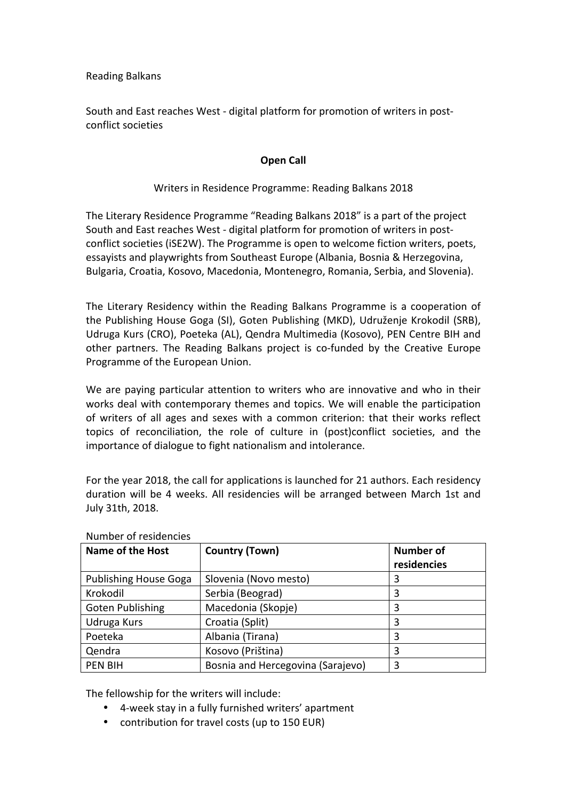Reading Balkans

South and East reaches West - digital platform for promotion of writers in postconflict societies

## **Open Call**

## Writers in Residence Programme: Reading Balkans 2018

The Literary Residence Programme "Reading Balkans 2018" is a part of the project South and East reaches West - digital platform for promotion of writers in postconflict societies (iSE2W). The Programme is open to welcome fiction writers, poets, essayists and playwrights from Southeast Europe (Albania, Bosnia & Herzegovina, Bulgaria, Croatia, Kosovo, Macedonia, Montenegro, Romania, Serbia, and Slovenia).

The Literary Residency within the Reading Balkans Programme is a cooperation of the Publishing House Goga (SI), Goten Publishing (MKD), Udruženje Krokodil (SRB), Udruga Kurs (CRO), Poeteka (AL), Qendra Multimedia (Kosovo), PEN Centre BIH and other partners. The Reading Balkans project is co-funded by the Creative Europe Programme of the European Union.

We are paying particular attention to writers who are innovative and who in their works deal with contemporary themes and topics. We will enable the participation of writers of all ages and sexes with a common criterion: that their works reflect topics of reconciliation, the role of culture in (post)conflict societies, and the importance of dialogue to fight nationalism and intolerance.

For the year 2018, the call for applications is launched for 21 authors. Each residency duration will be 4 weeks. All residencies will be arranged between March 1st and July 31th, 2018.

| <b>Name of the Host</b>      | <b>Country (Town)</b>             | <b>Number of</b><br>residencies |
|------------------------------|-----------------------------------|---------------------------------|
| <b>Publishing House Goga</b> | Slovenia (Novo mesto)             | 3                               |
| Krokodil                     | Serbia (Beograd)                  | 3                               |
| <b>Goten Publishing</b>      | Macedonia (Skopje)                | 3                               |
| Udruga Kurs                  | Croatia (Split)                   | 3                               |
| Poeteka                      | Albania (Tirana)                  | 3                               |
| Qendra                       | Kosovo (Priština)                 | 3                               |
| <b>PEN BIH</b>               | Bosnia and Hercegovina (Sarajevo) | 3                               |

Number of residencies

The fellowship for the writers will include:

- 4-week stay in a fully furnished writers' apartment
- contribution for travel costs (up to 150 EUR)